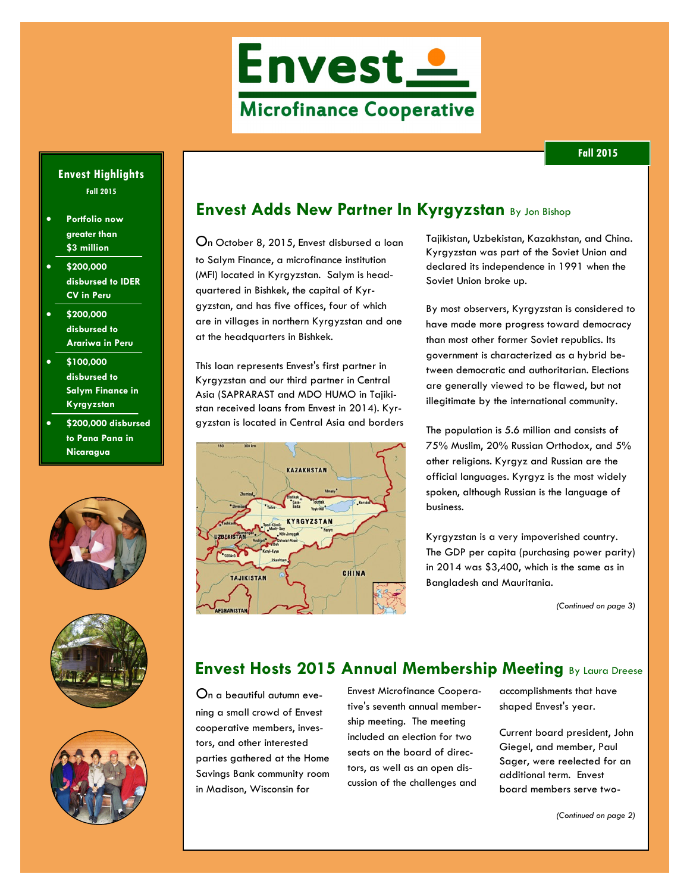

#### **Envest Highlights Fall 2015**

- **Portfolio now greater than \$3 million**
- **\$200,000 disbursed to IDER CV in Peru**
- **\$200,000 disbursed to Arariwa in Peru**
- **\$100,000 disbursed to Salym Finance in Kyrgyzstan**
- **\$200,000 disbursed to Pana Pana in Nicaragua**







## **Envest Adds New Partner In Kyrgyzstan** By Jon Bishop

On October 8, 2015, Envest disbursed a loan to Salym Finance, a microfinance institution (MFI) located in Kyrgyzstan. Salym is headquartered in Bishkek, the capital of Kyrgyzstan, and has five offices, four of which are in villages in northern Kyrgyzstan and one at the headquarters in Bishkek.

This loan represents Envest's first partner in Kyrgyzstan and our third partner in Central Asia (SAPRARAST and MDO HUMO in Tajikistan received loans from Envest in 2014). Kyrgyzstan is located in Central Asia and borders



Tajikistan, Uzbekistan, Kazakhstan, and China. Kyrgyzstan was part of the Soviet Union and declared its independence in 1991 when the Soviet Union broke up.

By most observers, Kyrgyzstan is considered to have made more progress toward democracy than most other former Soviet republics. Its government is characterized as a hybrid between democratic and authoritarian. Elections are generally viewed to be flawed, but not illegitimate by the international community.

The population is 5.6 million and consists of 75% Muslim, 20% Russian Orthodox, and 5% other religions. Kyrgyz and Russian are the official languages. Kyrgyz is the most widely spoken, although Russian is the language of business.

Kyrgyzstan is a very impoverished country. The GDP per capita (purchasing power parity) in 2014 was \$3,400, which is the same as in Bangladesh and Mauritania.

*(Continued on page 3)*

# **Envest Hosts 2015 Annual Membership Meeting By Laura Dreese**

On a beautiful autumn evening a small crowd of Envest cooperative members, investors, and other interested parties gathered at the Home Savings Bank community room in Madison, Wisconsin for

Envest Microfinance Cooperative's seventh annual membership meeting. The meeting included an election for two seats on the board of directors, as well as an open discussion of the challenges and

accomplishments that have shaped Envest's year.

Current board president, John Giegel, and member, Paul Sager, were reelected for an additional term. Envest board members serve two-

*(Continued on page 2)*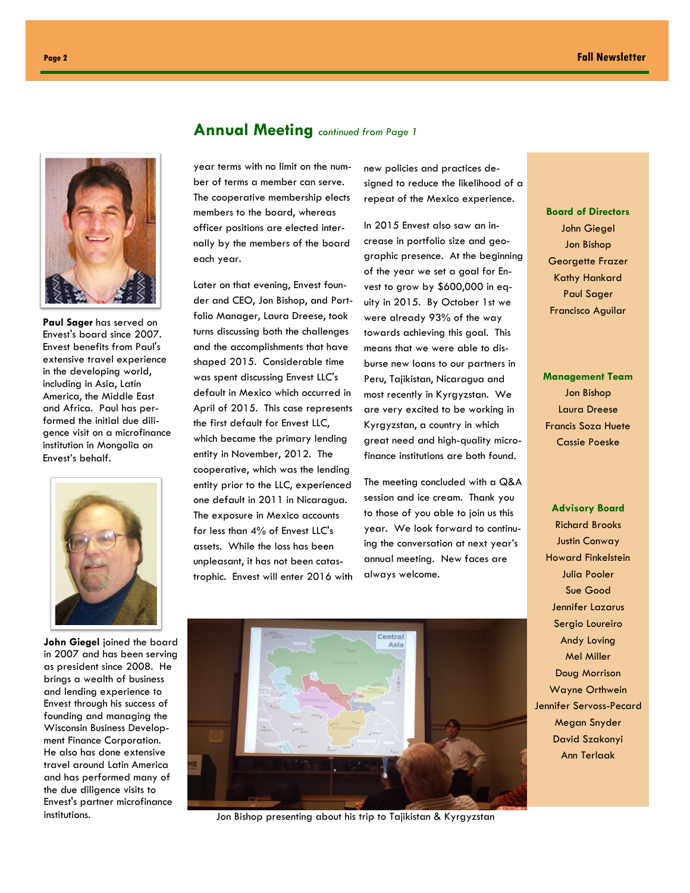

**Paul Sager** has served on Envest's board since 2007. Envest benefits from Paul's extensive travel experience in the developing world, including in Asia, Latin America, the Middle East and Africa. Paul has performed the initial due diligence visit on a microfinance institution in Mongolia on Envest's behalf.



**John Giegel** joined the board in 2007 and has been serving as president since 2008. He brings a wealth of business and lending experience to Envest through his success of founding and managing the Wisconsin Business Development Finance Corporation. He also has done extensive travel around Latin America and has performed many of the due diligence visits to Envest's partner microfinance

#### **Annual Meeting** *continued from Page 1*

year terms with no limit on the number of terms a member can serve. The cooperative membership elects members to the board, whereas officer positions are elected internally by the members of the board each year.

Later on that evening, Envest founder and CEO, Jon Bishop, and Portfolio Manager, Laura Dreese, took turns discussing both the challenges and the accomplishments that have shaped 2015. Considerable time was spent discussing Envest LLC's default in Mexico which occurred in April of 2015. This case represents the first default for Envest LLC, which became the primary lending entity in November, 2012. The cooperative, which was the lending entity prior to the LLC, experienced one default in 2011 in Nicaragua. The exposure in Mexico accounts for less than 4% of Envest LLC's assets. While the loss has been unpleasant, it has not been catastrophic. Envest will enter 2016 with new policies and practices designed to reduce the likelihood of a repeat of the Mexico experience.

In 2015 Envest also saw an increase in portfolio size and geographic presence. At the beginning of the year we set a goal for Envest to grow by \$600,000 in equity in 2015. By October 1st we were already 93% of the way towards achieving this goal. This means that we were able to disburse new loans to our partners in Peru, Tajikistan, Nicaragua and most recently in Kyrgyzstan. We are very excited to be working in Kyrgyzstan, a country in which great need and high-quality microfinance institutions are both found.

The meeting concluded with a Q&A session and ice cream. Thank you to those of you able to join us this year. We look forward to continuing the conversation at next year's annual meeting. New faces are always welcome.



institutions. **We are also assumed to a structure of the Structure Control of the Structure Control of the Structure Control of the Structure Control of the Structure Control of the Structure Control of the Structure Contr** 

**Board of Directors** John Giegel Jon Bishop Georgette Frazer Kathy Hankard Paul Sager Francisco Aguilar

### **Management Team** Jon Bishop Laura Dreese Francis Soza Huete Cassie Poeske

**Advisory Board** Richard Brooks Justin Conway Howard Finkelstein Julia Pooler Sue Good Jennifer Lazarus Sergio Loureiro Andy Loving Mel Miller Doug Morrison Wayne Orthwein Jennifer Servoss-Pecard Megan Snyder David Szakonyi Ann Terlaak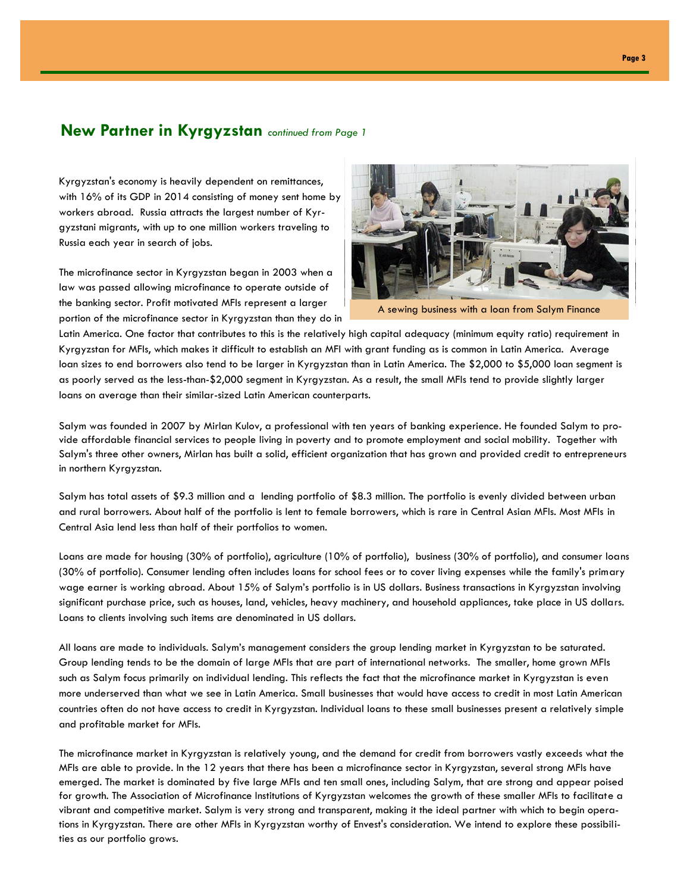### **New Partner in Kyrgyzstan** *continued from Page 1*

Kyrgyzstan's economy is heavily dependent on remittances, with 16% of its GDP in 2014 consisting of money sent home by workers abroad. Russia attracts the largest number of Kyrgyzstani migrants, with up to one million workers traveling to Russia each year in search of jobs.

The microfinance sector in Kyrgyzstan began in 2003 when a law was passed allowing microfinance to operate outside of the banking sector. Profit motivated MFIs represent a larger portion of the microfinance sector in Kyrgyzstan than they do in



A sewing business with a loan from Salym Finance

Latin America. One factor that contributes to this is the relatively high capital adequacy (minimum equity ratio) requirement in Kyrgyzstan for MFIs, which makes it difficult to establish an MFI with grant funding as is common in Latin America. Average loan sizes to end borrowers also tend to be larger in Kyrgyzstan than in Latin America. The \$2,000 to \$5,000 loan segment is as poorly served as the less-than-\$2,000 segment in Kyrgyzstan. As a result, the small MFIs tend to provide slightly larger loans on average than their similar-sized Latin American counterparts.

Salym was founded in 2007 by Mirlan Kulov, a professional with ten years of banking experience. He founded Salym to provide affordable financial services to people living in poverty and to promote employment and social mobility. Together with Salym's three other owners, Mirlan has built a solid, efficient organization that has grown and provided credit to entrepreneurs in northern Kyrgyzstan.

Salym has total assets of \$9.3 million and a lending portfolio of \$8.3 million. The portfolio is evenly divided between urban and rural borrowers. About half of the portfolio is lent to female borrowers, which is rare in Central Asian MFIs. Most MFIs in Central Asia lend less than half of their portfolios to women.

Loans are made for housing (30% of portfolio), agriculture (10% of portfolio), business (30% of portfolio), and consumer loans (30% of portfolio). Consumer lending often includes loans for school fees or to cover living expenses while the family's primary wage earner is working abroad. About 15% of Salym's portfolio is in US dollars. Business transactions in Kyrgyzstan involving significant purchase price, such as houses, land, vehicles, heavy machinery, and household appliances, take place in US dollars. Loans to clients involving such items are denominated in US dollars.

All loans are made to individuals. Salym's management considers the group lending market in Kyrgyzstan to be saturated. Group lending tends to be the domain of large MFIs that are part of international networks. The smaller, home grown MFIs such as Salym focus primarily on individual lending. This reflects the fact that the microfinance market in Kyrgyzstan is even more underserved than what we see in Latin America. Small businesses that would have access to credit in most Latin American countries often do not have access to credit in Kyrgyzstan. Individual loans to these small businesses present a relatively simple and profitable market for MFIs.

The microfinance market in Kyrgyzstan is relatively young, and the demand for credit from borrowers vastly exceeds what the MFIs are able to provide. In the 12 years that there has been a microfinance sector in Kyrgyzstan, several strong MFIs have emerged. The market is dominated by five large MFIs and ten small ones, including Salym, that are strong and appear poised for growth. The Association of Microfinance Institutions of Kyrgyzstan welcomes the growth of these smaller MFIs to facilitate a vibrant and competitive market. Salym is very strong and transparent, making it the ideal partner with which to begin operations in Kyrgyzstan. There are other MFIs in Kyrgyzstan worthy of Envest's consideration. We intend to explore these possibilities as our portfolio grows.